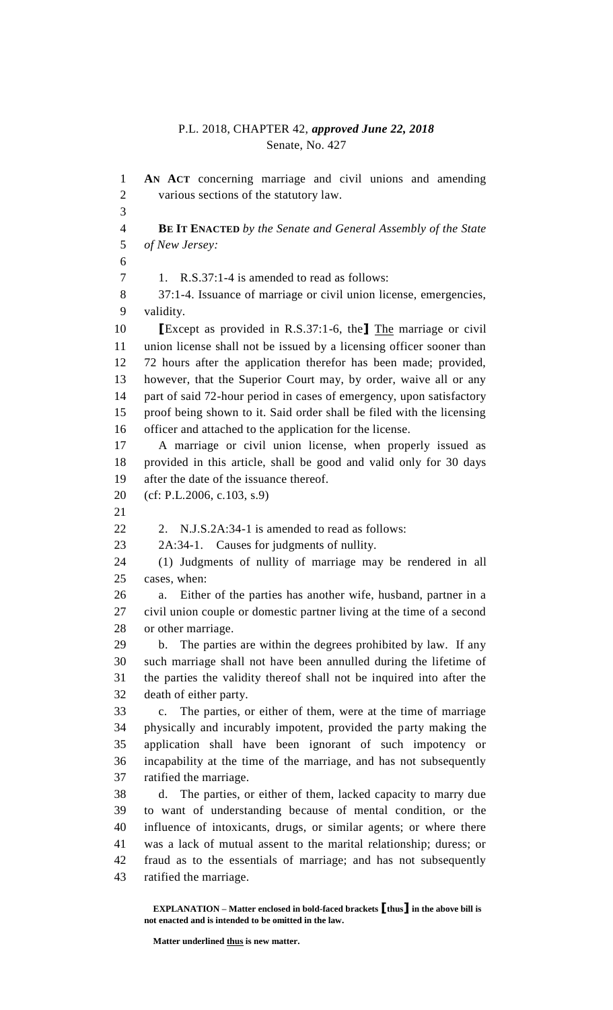## P.L. 2018, CHAPTER 42, *approved June 22, 2018* Senate, No. 427

 **AN ACT** concerning marriage and civil unions and amending various sections of the statutory law. **BE IT ENACTED** *by the Senate and General Assembly of the State of New Jersey:* 1. R.S.37:1-4 is amended to read as follows: 37:1-4. Issuance of marriage or civil union license, emergencies, validity. **[**Except as provided in R.S.37:1-6, the**]** The marriage or civil union license shall not be issued by a licensing officer sooner than 72 hours after the application therefor has been made; provided, however, that the Superior Court may, by order, waive all or any part of said 72-hour period in cases of emergency, upon satisfactory proof being shown to it. Said order shall be filed with the licensing officer and attached to the application for the license. A marriage or civil union license, when properly issued as provided in this article, shall be good and valid only for 30 days after the date of the issuance thereof. (cf: P.L.2006, c.103, s.9) 2. N.J.S.2A:34-1 is amended to read as follows: 2A:34-1. Causes for judgments of nullity. (1) Judgments of nullity of marriage may be rendered in all cases, when: a. Either of the parties has another wife, husband, partner in a civil union couple or domestic partner living at the time of a second or other marriage. b. The parties are within the degrees prohibited by law. If any such marriage shall not have been annulled during the lifetime of the parties the validity thereof shall not be inquired into after the death of either party. c. The parties, or either of them, were at the time of marriage physically and incurably impotent, provided the party making the application shall have been ignorant of such impotency or incapability at the time of the marriage, and has not subsequently ratified the marriage. d. The parties, or either of them, lacked capacity to marry due to want of understanding because of mental condition, or the influence of intoxicants, drugs, or similar agents; or where there was a lack of mutual assent to the marital relationship; duress; or fraud as to the essentials of marriage; and has not subsequently ratified the marriage.

**EXPLANATION – Matter enclosed in bold-faced brackets [thus] in the above bill is not enacted and is intended to be omitted in the law.**

Matter underlined thus is new matter.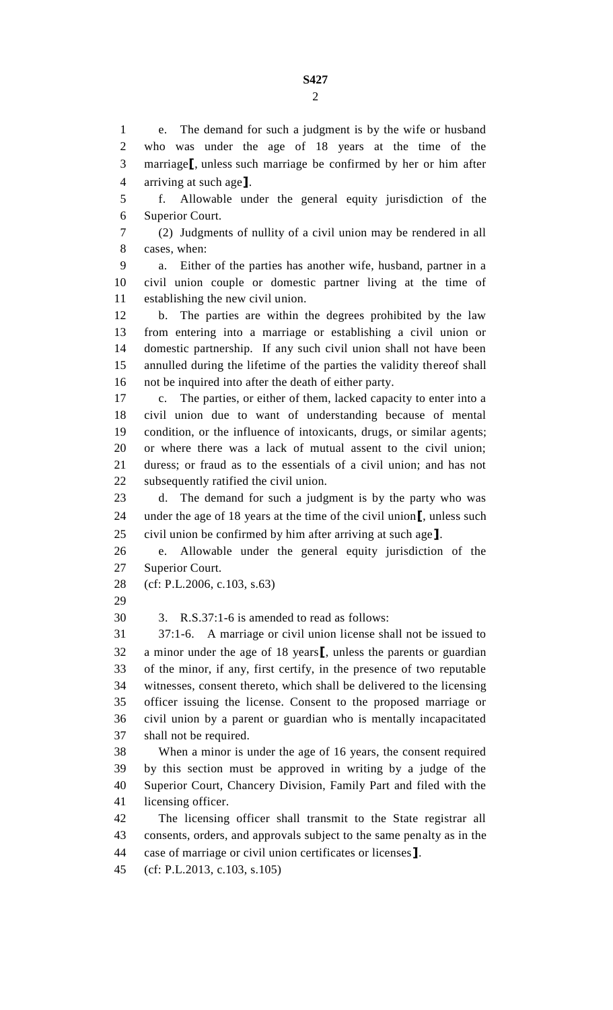e. The demand for such a judgment is by the wife or husband who was under the age of 18 years at the time of the marriage**[**, unless such marriage be confirmed by her or him after arriving at such age**]**. f. Allowable under the general equity jurisdiction of the Superior Court. (2) Judgments of nullity of a civil union may be rendered in all cases, when: a. Either of the parties has another wife, husband, partner in a civil union couple or domestic partner living at the time of establishing the new civil union. b. The parties are within the degrees prohibited by the law from entering into a marriage or establishing a civil union or domestic partnership. If any such civil union shall not have been annulled during the lifetime of the parties the validity thereof shall not be inquired into after the death of either party. c. The parties, or either of them, lacked capacity to enter into a civil union due to want of understanding because of mental condition, or the influence of intoxicants, drugs, or similar agents; or where there was a lack of mutual assent to the civil union; duress; or fraud as to the essentials of a civil union; and has not subsequently ratified the civil union. d. The demand for such a judgment is by the party who was under the age of 18 years at the time of the civil union**[**, unless such civil union be confirmed by him after arriving at such age**]**. e. Allowable under the general equity jurisdiction of the Superior Court. (cf: P.L.2006, c.103, s.63) 3. R.S.37:1-6 is amended to read as follows: 37:1-6. A marriage or civil union license shall not be issued to a minor under the age of 18 years**[**, unless the parents or guardian of the minor, if any, first certify, in the presence of two reputable witnesses, consent thereto, which shall be delivered to the licensing officer issuing the license. Consent to the proposed marriage or civil union by a parent or guardian who is mentally incapacitated shall not be required. When a minor is under the age of 16 years, the consent required by this section must be approved in writing by a judge of the Superior Court, Chancery Division, Family Part and filed with the licensing officer. The licensing officer shall transmit to the State registrar all consents, orders, and approvals subject to the same penalty as in the case of marriage or civil union certificates or licenses**]**. (cf: P.L.2013, c.103, s.105)

**S427**